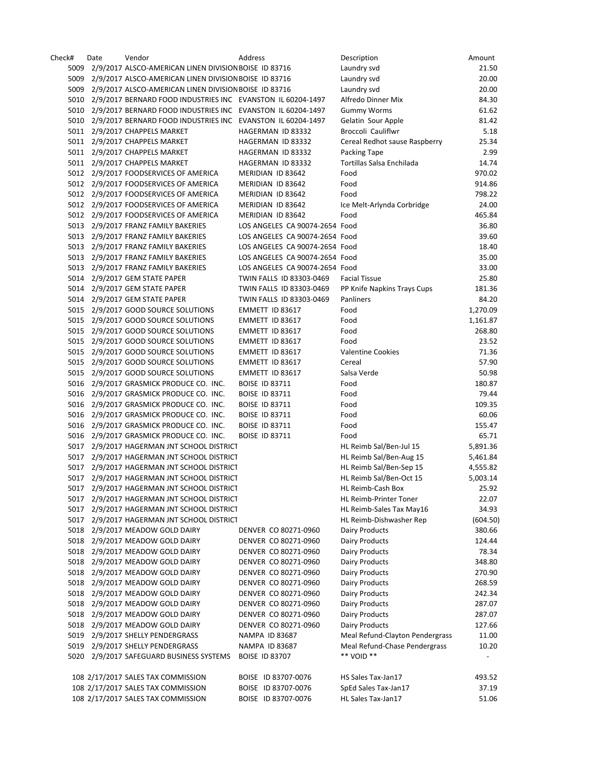| Check# | Date | Vendor                                                           | Address                        | Description                     | Amount   |
|--------|------|------------------------------------------------------------------|--------------------------------|---------------------------------|----------|
| 5009   |      | 2/9/2017 ALSCO-AMERICAN LINEN DIVISION BOISE ID 83716            |                                | Laundry svd                     | 21.50    |
| 5009   |      | 2/9/2017 ALSCO-AMERICAN LINEN DIVISION BOISE ID 83716            |                                | Laundry svd                     | 20.00    |
|        |      | 5009 2/9/2017 ALSCO-AMERICAN LINEN DIVISION BOISE ID 83716       |                                | Laundry svd                     | 20.00    |
|        |      | 5010 2/9/2017 BERNARD FOOD INDUSTRIES INC EVANSTON IL 60204-1497 |                                | Alfredo Dinner Mix              | 84.30    |
|        |      | 5010 2/9/2017 BERNARD FOOD INDUSTRIES INC EVANSTON IL 60204-1497 |                                | <b>Gummy Worms</b>              | 61.62    |
|        |      | 5010 2/9/2017 BERNARD FOOD INDUSTRIES INC EVANSTON IL 60204-1497 |                                | Gelatin Sour Apple              | 81.42    |
|        |      | 5011 2/9/2017 CHAPPELS MARKET                                    | HAGERMAN ID 83332              | Broccoli Cauliflwr              | 5.18     |
|        |      | 5011 2/9/2017 CHAPPELS MARKET                                    | HAGERMAN ID 83332              | Cereal Redhot sause Raspberry   | 25.34    |
|        |      | 5011 2/9/2017 CHAPPELS MARKET                                    | HAGERMAN ID 83332              | Packing Tape                    | 2.99     |
|        |      | 5011 2/9/2017 CHAPPELS MARKET                                    | HAGERMAN ID 83332              | Tortillas Salsa Enchilada       | 14.74    |
|        |      | 5012 2/9/2017 FOODSERVICES OF AMERICA                            | MERIDIAN ID 83642              | Food                            | 970.02   |
|        |      | 5012 2/9/2017 FOODSERVICES OF AMERICA                            | MERIDIAN ID 83642              | Food                            | 914.86   |
|        |      | 5012 2/9/2017 FOODSERVICES OF AMERICA                            | MERIDIAN ID 83642              | Food                            | 798.22   |
|        |      | 5012 2/9/2017 FOODSERVICES OF AMERICA                            | MERIDIAN ID 83642              | Ice Melt-Arlynda Corbridge      | 24.00    |
|        |      | 5012 2/9/2017 FOODSERVICES OF AMERICA                            | MERIDIAN ID 83642              | Food                            | 465.84   |
|        |      | 5013 2/9/2017 FRANZ FAMILY BAKERIES                              | LOS ANGELES CA 90074-2654 Food |                                 | 36.80    |
|        |      | 5013 2/9/2017 FRANZ FAMILY BAKERIES                              | LOS ANGELES CA 90074-2654 Food |                                 | 39.60    |
|        |      | 5013 2/9/2017 FRANZ FAMILY BAKERIES                              | LOS ANGELES CA 90074-2654 Food |                                 | 18.40    |
|        |      | 5013 2/9/2017 FRANZ FAMILY BAKERIES                              | LOS ANGELES CA 90074-2654 Food |                                 | 35.00    |
|        |      | 5013 2/9/2017 FRANZ FAMILY BAKERIES                              | LOS ANGELES CA 90074-2654 Food |                                 | 33.00    |
|        |      | 5014 2/9/2017 GEM STATE PAPER                                    | TWIN FALLS ID 83303-0469       | <b>Facial Tissue</b>            | 25.80    |
|        |      | 5014 2/9/2017 GEM STATE PAPER                                    | TWIN FALLS ID 83303-0469       | PP Knife Napkins Trays Cups     | 181.36   |
|        |      | 5014 2/9/2017 GEM STATE PAPER                                    | TWIN FALLS ID 83303-0469       | Panliners                       | 84.20    |
|        |      | 5015 2/9/2017 GOOD SOURCE SOLUTIONS                              | EMMETT ID 83617                | Food                            | 1,270.09 |
|        |      | 5015 2/9/2017 GOOD SOURCE SOLUTIONS                              | EMMETT ID 83617                | Food                            | 1,161.87 |
|        |      | 5015 2/9/2017 GOOD SOURCE SOLUTIONS                              | EMMETT ID 83617                | Food                            | 268.80   |
|        |      | 5015 2/9/2017 GOOD SOURCE SOLUTIONS                              | EMMETT ID 83617                | Food                            | 23.52    |
|        |      | 5015 2/9/2017 GOOD SOURCE SOLUTIONS                              | EMMETT ID 83617                | <b>Valentine Cookies</b>        | 71.36    |
|        |      | 5015 2/9/2017 GOOD SOURCE SOLUTIONS                              | EMMETT ID 83617                | Cereal                          | 57.90    |
|        |      | 5015 2/9/2017 GOOD SOURCE SOLUTIONS                              | EMMETT ID 83617                | Salsa Verde                     | 50.98    |
|        |      | 5016 2/9/2017 GRASMICK PRODUCE CO. INC.                          | <b>BOISE ID 83711</b>          | Food                            | 180.87   |
|        |      | 5016 2/9/2017 GRASMICK PRODUCE CO. INC.                          | <b>BOISE ID 83711</b>          | Food                            | 79.44    |
|        |      | 5016 2/9/2017 GRASMICK PRODUCE CO. INC.                          | <b>BOISE ID 83711</b>          | Food                            | 109.35   |
|        |      | 5016 2/9/2017 GRASMICK PRODUCE CO. INC.                          | <b>BOISE ID 83711</b>          | Food                            | 60.06    |
|        |      | 5016 2/9/2017 GRASMICK PRODUCE CO. INC.                          | <b>BOISE ID 83711</b>          | Food                            | 155.47   |
|        |      | 5016 2/9/2017 GRASMICK PRODUCE CO. INC.                          | <b>BOISE ID 83711</b>          | Food                            | 65.71    |
|        |      | 5017 2/9/2017 HAGERMAN JNT SCHOOL DISTRICT                       |                                | HL Reimb Sal/Ben-Jul 15         | 5,891.36 |
|        |      | 5017 2/9/2017 HAGERMAN JNT SCHOOL DISTRICT                       |                                | HL Reimb Sal/Ben-Aug 15         | 5,461.84 |
|        |      | 5017 2/9/2017 HAGERMAN JNT SCHOOL DISTRICT                       |                                | HL Reimb Sal/Ben-Sep 15         | 4,555.82 |
|        |      | 5017 2/9/2017 HAGERMAN JNT SCHOOL DISTRICT                       |                                | HL Reimb Sal/Ben-Oct 15         | 5,003.14 |
| 5017   |      | 2/9/2017 HAGERMAN JNT SCHOOL DISTRICT                            |                                | HL Reimb-Cash Box               | 25.92    |
| 5017   |      | 2/9/2017 HAGERMAN JNT SCHOOL DISTRICT                            |                                | <b>HL Reimb-Printer Toner</b>   | 22.07    |
| 5017   |      | 2/9/2017 HAGERMAN JNT SCHOOL DISTRICT                            |                                | HL Reimb-Sales Tax May16        | 34.93    |
| 5017   |      | 2/9/2017 HAGERMAN JNT SCHOOL DISTRICT                            |                                | HL Reimb-Dishwasher Rep         | (604.50) |
|        |      | 5018 2/9/2017 MEADOW GOLD DAIRY                                  | DENVER CO 80271-0960           | Dairy Products                  | 380.66   |
|        |      | 5018 2/9/2017 MEADOW GOLD DAIRY                                  | DENVER CO 80271-0960           | Dairy Products                  | 124.44   |
|        |      | 5018 2/9/2017 MEADOW GOLD DAIRY                                  | DENVER CO 80271-0960           | Dairy Products                  | 78.34    |
|        |      | 5018 2/9/2017 MEADOW GOLD DAIRY                                  | DENVER CO 80271-0960           | <b>Dairy Products</b>           | 348.80   |
|        |      | 5018 2/9/2017 MEADOW GOLD DAIRY                                  | DENVER CO 80271-0960           | Dairy Products                  | 270.90   |
|        |      | 5018 2/9/2017 MEADOW GOLD DAIRY                                  | DENVER CO 80271-0960           | Dairy Products                  | 268.59   |
|        |      | 5018 2/9/2017 MEADOW GOLD DAIRY                                  | DENVER CO 80271-0960           | Dairy Products                  | 242.34   |
|        |      | 5018 2/9/2017 MEADOW GOLD DAIRY                                  | DENVER CO 80271-0960           | Dairy Products                  | 287.07   |
|        |      | 5018 2/9/2017 MEADOW GOLD DAIRY                                  | DENVER CO 80271-0960           | Dairy Products                  | 287.07   |
|        |      | 5018 2/9/2017 MEADOW GOLD DAIRY                                  | DENVER CO 80271-0960           | Dairy Products                  | 127.66   |
|        |      | 5019 2/9/2017 SHELLY PENDERGRASS                                 | <b>NAMPA ID 83687</b>          | Meal Refund-Clayton Pendergrass | 11.00    |
|        |      | 5019 2/9/2017 SHELLY PENDERGRASS                                 | <b>NAMPA ID 83687</b>          | Meal Refund-Chase Pendergrass   | 10.20    |
|        |      | 5020 2/9/2017 SAFEGUARD BUSINESS SYSTEMS                         | <b>BOISE ID 83707</b>          | ** VOID **                      |          |
|        |      |                                                                  |                                |                                 |          |
|        |      | 108 2/17/2017 SALES TAX COMMISSION                               | BOISE ID 83707-0076            | HS Sales Tax-Jan17              | 493.52   |
|        |      | 108 2/17/2017 SALES TAX COMMISSION                               | BOISE ID 83707-0076            | SpEd Sales Tax-Jan17            | 37.19    |
|        |      | 108 2/17/2017 SALES TAX COMMISSION                               | BOISE ID 83707-0076            | HL Sales Tax-Jan17              | 51.06    |
|        |      |                                                                  |                                |                                 |          |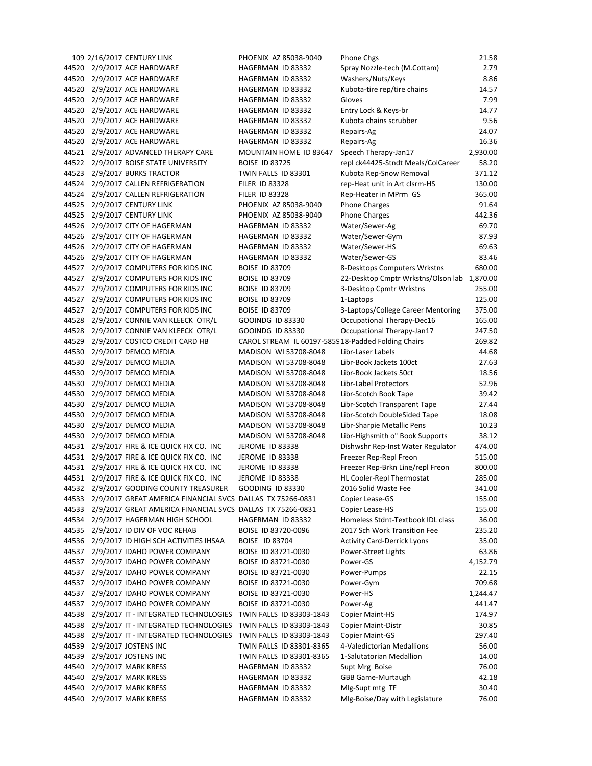|       | 109 2/16/2017 CENTURY LINK                                       | PHOENIX AZ 85038-9040                              | Phone Chgs                                  | 21.58    |
|-------|------------------------------------------------------------------|----------------------------------------------------|---------------------------------------------|----------|
|       | 44520 2/9/2017 ACE HARDWARE                                      | HAGERMAN ID 83332                                  | Spray Nozzle-tech (M.Cottam)                | 2.79     |
| 44520 | 2/9/2017 ACE HARDWARE                                            | HAGERMAN ID 83332                                  | Washers/Nuts/Keys                           | 8.86     |
| 44520 | 2/9/2017 ACE HARDWARE                                            | HAGERMAN ID 83332                                  | Kubota-tire rep/tire chains                 | 14.57    |
|       | 44520 2/9/2017 ACE HARDWARE                                      | HAGERMAN ID 83332                                  | Gloves                                      | 7.99     |
|       | 44520 2/9/2017 ACE HARDWARE                                      | HAGERMAN ID 83332                                  | Entry Lock & Keys-br                        | 14.77    |
| 44520 | 2/9/2017 ACE HARDWARE                                            | HAGERMAN ID 83332                                  | Kubota chains scrubber                      | 9.56     |
| 44520 | 2/9/2017 ACE HARDWARE                                            | HAGERMAN ID 83332                                  | Repairs-Ag                                  | 24.07    |
| 44520 | 2/9/2017 ACE HARDWARE                                            | HAGERMAN ID 83332                                  | Repairs-Ag                                  | 16.36    |
| 44521 | 2/9/2017 ADVANCED THERAPY CARE                                   | MOUNTAIN HOME ID 83647                             | Speech Therapy-Jan17                        | 2,930.00 |
| 44522 | 2/9/2017 BOISE STATE UNIVERSITY                                  | <b>BOISE ID 83725</b>                              | repl ck44425-Stndt Meals/ColCareer          | 58.20    |
| 44523 | 2/9/2017 BURKS TRACTOR                                           | TWIN FALLS ID 83301                                | Kubota Rep-Snow Removal                     | 371.12   |
| 44524 | 2/9/2017 CALLEN REFRIGERATION                                    | <b>FILER ID 83328</b>                              | rep-Heat unit in Art clsrm-HS               | 130.00   |
| 44524 | 2/9/2017 CALLEN REFRIGERATION                                    | <b>FILER ID 83328</b>                              | Rep-Heater in MPrm GS                       | 365.00   |
|       |                                                                  |                                                    |                                             |          |
| 44525 | 2/9/2017 CENTURY LINK                                            | PHOENIX AZ 85038-9040                              | <b>Phone Charges</b>                        | 91.64    |
| 44525 | 2/9/2017 CENTURY LINK                                            | PHOENIX AZ 85038-9040                              | <b>Phone Charges</b>                        | 442.36   |
| 44526 | 2/9/2017 CITY OF HAGERMAN                                        | HAGERMAN ID 83332                                  | Water/Sewer-Ag                              | 69.70    |
| 44526 | 2/9/2017 CITY OF HAGERMAN                                        | HAGERMAN ID 83332                                  | Water/Sewer-Gym                             | 87.93    |
| 44526 | 2/9/2017 CITY OF HAGERMAN                                        | HAGERMAN ID 83332                                  | Water/Sewer-HS                              | 69.63    |
| 44526 | 2/9/2017 CITY OF HAGERMAN                                        | HAGERMAN ID 83332                                  | Water/Sewer-GS                              | 83.46    |
| 44527 | 2/9/2017 COMPUTERS FOR KIDS INC                                  | <b>BOISE ID 83709</b>                              | 8-Desktops Computers Wrkstns                | 680.00   |
| 44527 | 2/9/2017 COMPUTERS FOR KIDS INC                                  | <b>BOISE ID 83709</b>                              | 22-Desktop Cmptr Wrkstns/Olson lab 1,870.00 |          |
| 44527 | 2/9/2017 COMPUTERS FOR KIDS INC                                  | <b>BOISE ID 83709</b>                              | 3-Desktop Cpmtr Wrkstns                     | 255.00   |
| 44527 | 2/9/2017 COMPUTERS FOR KIDS INC                                  | <b>BOISE ID 83709</b>                              | 1-Laptops                                   | 125.00   |
| 44527 | 2/9/2017 COMPUTERS FOR KIDS INC                                  | <b>BOISE ID 83709</b>                              | 3-Laptops/College Career Mentoring          | 375.00   |
| 44528 | 2/9/2017 CONNIE VAN KLEECK OTR/L                                 | GOOINDG ID 83330                                   | Occupational Therapy-Dec16                  | 165.00   |
| 44528 | 2/9/2017 CONNIE VAN KLEECK OTR/L                                 | GOOINDG ID 83330                                   | Occupational Therapy-Jan17                  | 247.50   |
| 44529 | 2/9/2017 COSTCO CREDIT CARD HB                                   | CAROL STREAM IL 60197-585918-Padded Folding Chairs |                                             | 269.82   |
| 44530 | 2/9/2017 DEMCO MEDIA                                             | MADISON WI 53708-8048                              | Libr-Laser Labels                           | 44.68    |
| 44530 | 2/9/2017 DEMCO MEDIA                                             | MADISON WI 53708-8048                              | Libr-Book Jackets 100ct                     | 27.63    |
| 44530 | 2/9/2017 DEMCO MEDIA                                             | MADISON WI 53708-8048                              | Libr-Book Jackets 50ct                      | 18.56    |
|       | 44530 2/9/2017 DEMCO MEDIA                                       | MADISON WI 53708-8048                              | Libr-Label Protectors                       | 52.96    |
| 44530 | 2/9/2017 DEMCO MEDIA                                             | MADISON WI 53708-8048                              | Libr-Scotch Book Tape                       | 39.42    |
| 44530 | 2/9/2017 DEMCO MEDIA                                             | MADISON WI 53708-8048                              | Libr-Scotch Transparent Tape                | 27.44    |
| 44530 | 2/9/2017 DEMCO MEDIA                                             | MADISON WI 53708-8048                              | Libr-Scotch DoubleSided Tape                | 18.08    |
|       | 44530 2/9/2017 DEMCO MEDIA                                       | MADISON WI 53708-8048                              | Libr-Sharpie Metallic Pens                  | 10.23    |
| 44530 | 2/9/2017 DEMCO MEDIA                                             | MADISON WI 53708-8048                              | Libr-Highsmith o" Book Supports             | 38.12    |
| 44531 | 2/9/2017 FIRE & ICE QUICK FIX CO. INC                            | JEROME ID 83338                                    | Dishwshr Rep-Inst Water Regulator           | 474.00   |
|       | 44531 2/9/2017 FIRE & ICE QUICK FIX CO. INC                      | JEROME ID 83338                                    | Freezer Rep-Repl Freon                      | 515.00   |
| 44531 | 2/9/2017 FIRE & ICE QUICK FIX CO. INC                            | JEROME ID 83338                                    | Freezer Rep-Brkn Line/repl Freon            | 800.00   |
|       | 44531 2/9/2017 FIRE & ICE QUICK FIX CO. INC                      | JEROME ID 83338                                    | <b>HL Cooler-Repl Thermostat</b>            | 285.00   |
|       | 44532 2/9/2017 GOODING COUNTY TREASURER GOODING ID 83330         |                                                    | 2016 Solid Waste Fee                        | 341.00   |
|       | 44533 2/9/2017 GREAT AMERICA FINANCIAL SVCS DALLAS TX 75266-0831 |                                                    | Copier Lease-GS                             | 155.00   |
| 44533 | 2/9/2017 GREAT AMERICA FINANCIAL SVCS DALLAS TX 75266-0831       |                                                    | Copier Lease-HS                             | 155.00   |
| 44534 | 2/9/2017 HAGERMAN HIGH SCHOOL                                    | HAGERMAN ID 83332                                  | Homeless Stdnt-Textbook IDL class           | 36.00    |
| 44535 | 2/9/2017 ID DIV OF VOC REHAB                                     | BOISE ID 83720-0096                                | 2017 Sch Work Transition Fee                | 235.20   |
|       | 44536 2/9/2017 ID HIGH SCH ACTIVITIES IHSAA                      | BOISE ID 83704                                     | <b>Activity Card-Derrick Lyons</b>          | 35.00    |
|       | 44537 2/9/2017 IDAHO POWER COMPANY                               | BOISE ID 83721-0030                                | Power-Street Lights                         | 63.86    |
| 44537 | 2/9/2017 IDAHO POWER COMPANY                                     | BOISE ID 83721-0030                                | Power-GS                                    | 4,152.79 |
| 44537 | 2/9/2017 IDAHO POWER COMPANY                                     | BOISE ID 83721-0030                                | Power-Pumps                                 | 22.15    |
| 44537 | 2/9/2017 IDAHO POWER COMPANY                                     | BOISE ID 83721-0030                                | Power-Gym                                   | 709.68   |
| 44537 | 2/9/2017 IDAHO POWER COMPANY                                     | BOISE ID 83721-0030                                | Power-HS                                    | 1,244.47 |
| 44537 | 2/9/2017 IDAHO POWER COMPANY                                     | BOISE ID 83721-0030                                | Power-Ag                                    | 441.47   |
| 44538 | 2/9/2017 IT - INTEGRATED TECHNOLOGIES                            | TWIN FALLS ID 83303-1843                           | Copier Maint-HS                             | 174.97   |
| 44538 | 2/9/2017 IT - INTEGRATED TECHNOLOGIES                            | TWIN FALLS ID 83303-1843                           | Copier Maint-Distr                          | 30.85    |
| 44538 | 2/9/2017 IT - INTEGRATED TECHNOLOGIES TWIN FALLS ID 83303-1843   |                                                    | Copier Maint-GS                             | 297.40   |
| 44539 | 2/9/2017 JOSTENS INC                                             | TWIN FALLS ID 83301-8365                           | 4-Valedictorian Medallions                  | 56.00    |
| 44539 | 2/9/2017 JOSTENS INC                                             | TWIN FALLS ID 83301-8365                           | 1-Salutatorian Medallion                    | 14.00    |
| 44540 | 2/9/2017 MARK KRESS                                              | HAGERMAN ID 83332                                  | Supt Mrg Boise                              | 76.00    |
| 44540 | 2/9/2017 MARK KRESS                                              | HAGERMAN ID 83332                                  | GBB Game-Murtaugh                           | 42.18    |
| 44540 | 2/9/2017 MARK KRESS                                              | HAGERMAN ID 83332                                  | Mlg-Supt mtg TF                             | 30.40    |
| 44540 | 2/9/2017 MARK KRESS                                              | HAGERMAN ID 83332                                  | Mlg-Boise/Day with Legislature              | 76.00    |
|       |                                                                  |                                                    |                                             |          |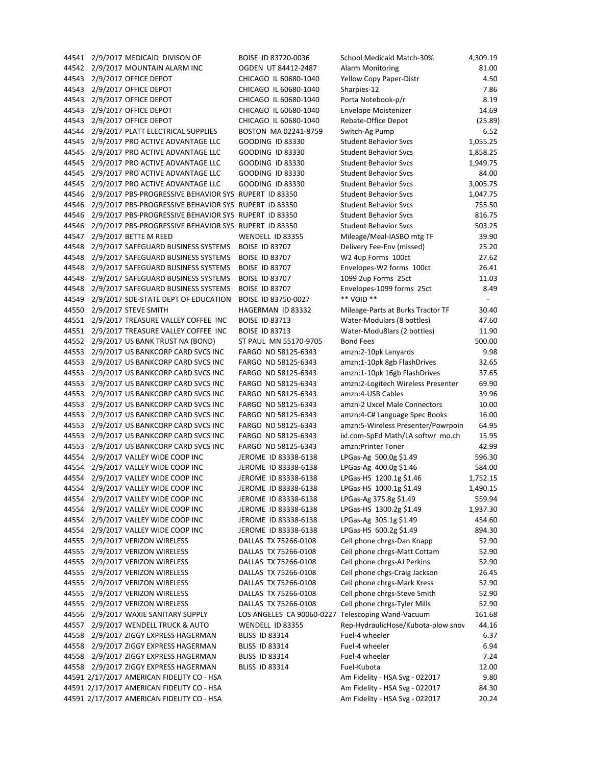44549 2/9/2017 SDE-STATE DEPT OF EDUCATION BOISE ID 83750-0027 \*\*\* VOID \*\*

44541 2/9/2017 MEDICAID DIVISON OF BOISE ID 83720‐0036 School Medicaid Match‐30% 4,309.19 44542 2/9/2017 MOUNTAIN ALARM INC OGDEN UT 84412‐2487 Alarm Monitoring 81.00 44543 2/9/2017 OFFICE DEPOT CHICAGO IL 60680‐1040 Yellow Copy Paper‐Distr 4.50 44543 2/9/2017 OFFICE DEPOT CHICAGO IL 60680‐1040 Sharpies‐12 7.86 44543 2/9/2017 OFFICE DEPOT CHICAGO IL 60680‐1040 Porta Notebook‐p/r 8.19 44543 2/9/2017 OFFICE DEPOT CHICAGO IL 60680‐1040 Envelope Moistenizer 14.69 44543 2/9/2017 OFFICE DEPOT CHICAGO IL 60680‐1040 Rebate‐Office Depot (25.89) 44544 2/9/2017 PLATT ELECTRICAL SUPPLIES BOSTON MA 02241‐8759 Switch‐Ag Pump 6.52 44545 2/9/2017 PRO ACTIVE ADVANTAGE LLC GOODING ID 83330 Student Behavior Svcs 31,055.25 44545 2/9/2017 PRO ACTIVE ADVANTAGE LLC GOODING ID 83330 Student Behavior Svcs 1,858.25 44545 2/9/2017 PRO ACTIVE ADVANTAGE LLC GOODING ID 83330 Student Behavior Svcs 3,949.75 44545 2/9/2017 PRO ACTIVE ADVANTAGE LLC GOODING ID 83330 Student Behavior Svcs 84.00 44545 2/9/2017 PRO ACTIVE ADVANTAGE LLC GOODING ID 83330 Student Behavior Svcs 3,005.75 44546 2/9/2017 PBS‐PROGRESSIVE BEHAVIOR SYS RUPERT ID 83350 Student Behavior Svcs 1,047.75 44546 2/9/2017 PBS-PROGRESSIVE BEHAVIOR SYS RUPERT ID 83350 Student Behavior Svcs 755.50 44546 2/9/2017 PBS-PROGRESSIVE BEHAVIOR SYS RUPERT ID 83350 Student Behavior Svcs 816.75 44546 2/9/2017 PBS-PROGRESSIVE BEHAVIOR SYS RUPERT ID 83350 Student Behavior Svcs 503.25 44547 2/9/2017 BETTE M REED WENDELL ID 83355 Mileage/Meal‐IASBO mtg TF 39.90 44548 2/9/2017 SAFEGUARD BUSINESS SYSTEMS BOISE ID 83707 Delivery Fee‐Env (missed) 25.20 44548 2/9/2017 SAFEGUARD BUSINESS SYSTEMS BOISE ID 83707 W2 4up Forms 100ct 27.62 44548 2/9/2017 SAFEGUARD BUSINESS SYSTEMS BOISE ID 83707 Envelopes‐W2 forms 100ct 26.41 44548 2/9/2017 SAFEGUARD BUSINESS SYSTEMS BOISE ID 83707 1099 2up Forms 25ct 11.03 44548 2/9/2017 SAFEGUARD BUSINESS SYSTEMS BOISE ID 83707 Envelopes‐1099 forms 25ct 8.49 44550 2/9/2017 STEVE SMITH HAGERMAN ID 83332 Mileage‐Parts at Burks Tractor TF 30.40 44551 2/9/2017 TREASURE VALLEY COFFEE INC BOISE ID 83713 Water-Modulars (8 bottles) 47.60 44551 2/9/2017 TREASURE VALLEY COFFEE INC BOISE ID 83713 Water-Modu8lars (2 bottles) 11.90 44552 2/9/2017 US BANK TRUST NA (BOND) ST PAUL MN 55170-9705 Bond Fees 500.00 44553 2/9/2017 US BANKCORP CARD SVCS INC FARGO ND 58125‐6343 amzn:2‐10pk Lanyards 9.98 44553 2/9/2017 US BANKCORP CARD SVCS INC FARGO ND 58125-6343 amzn:1-10pk 8gb FlashDrives 32.65 44553 2/9/2017 US BANKCORP CARD SVCS INC FARGO ND 58125-6343 amzn:1-10pk 16gb FlashDrives 37.65 44553 2/9/2017 US BANKCORP CARD SVCS INC FARGO ND 58125‐6343 amzn:2‐Logitech Wireless Presenter 69.90 44553 2/9/2017 US BANKCORP CARD SVCS INC FARGO ND 58125‐6343 amzn:4‐USB Cables 39.96 44553 2/9/2017 US BANKCORP CARD SVCS INC FARGO ND 58125‐6343 amzn‐2 Uxcel Male Connectors 10.00 44553 2/9/2017 US BANKCORP CARD SVCS INC FARGO ND 58125-6343 amzn:4-C# Language Spec Books 16.00 44553 2/9/2017 US BANKCORP CARD SVCS INC FARGO ND 58125‐6343 amzn:5‐Wireless Presenter/Powrpoin 64.95 44553 2/9/2017 US BANKCORP CARD SVCS INC FARGO ND 58125‐6343 ixl.com‐SpEd Math/LA softwr mo.ch 15.95 44553 2/9/2017 US BANKCORP CARD SVCS INC FARGO ND 58125‐6343 amzn:Printer Toner 42.99 44554 2/9/2017 VALLEY WIDE COOP INC JEROME ID 83338-6138 LPGas-Ag 500.0g \$1.49 596.30 44554 2/9/2017 VALLEY WIDE COOP INC JEROME ID 83338‐6138 LPGas‐Ag 400.0g \$1.46 584.00 44554 2/9/2017 VALLEY WIDE COOP INC JEROME ID 83338-6138 LPGas-HS 1200.1g \$1.46 1,752.15 44554 2/9/2017 VALLEY WIDE COOP INC JEROME ID 83338-6138 LPGas-HS 1000.1g \$1.49 1.490.15 44554 2/9/2017 VALLEY WIDE COOP INC JEROME ID 83338-6138 LPGas-Ag 375.8g \$1.49 559.94 44554 2/9/2017 VALLEY WIDE COOP INC JEROME ID 83338-6138 LPGas-HS 1300.2g \$1.49 1,937.30 44554 2/9/2017 VALLEY WIDE COOP INC JEROME ID 83338-6138 LPGas-Ag 305.1g \$1.49 454.60 44554 2/9/2017 VALLEY WIDE COOP INC JEROME ID 83338-6138 LPGas-HS 600.2g \$1.49 894.30 44555 2/9/2017 VERIZON WIRELESS DALLAS TX 75266-0108 Cell phone chrgs-Dan Knapp 52.90 44555 2/9/2017 VERIZON WIRELESS DALLAS TX 75266-0108 Cell phone chrgs-Matt Cottam 52.90 44555 2/9/2017 VERIZON WIRELESS DALLAS TX 75266-0108 Cell phone chrgs-AJ Perkins 52.90 44555 2/9/2017 VERIZON WIRELESS DALLAS TX 75266-0108 Cell phone chgs-Craig Jackson 26.45 44555 2/9/2017 VERIZON WIRELESS DALLAS TX 75266-0108 Cell phone chrgs-Mark Kress 52.90 44555 2/9/2017 VERIZON WIRELESS DALLAS TX 75266-0108 Cell phone chrgs-Steve Smith 52.90 44555 2/9/2017 VERIZON WIRELESS DALLAS TX 75266-0108 Cell phone chrgs-Tyler Mills 52.90 44556 2/9/2017 WAXIE SANITARY SUPPLY LOS ANGELES CA 90060‐0227 Telescoping Wand‐Vacuum 161.68 44557 2/9/2017 WENDELL TRUCK & AUTO WENDELL ID 83355 Rep‐HydraulicHose/Kubota‐plow snow 44.16 44558 2/9/2017 ZIGGY EXPRESS HAGERMAN BLISS ID 83314 Fuel‐4 wheeler 6.37 44558 2/9/2017 ZIGGY EXPRESS HAGERMAN BLISS ID 83314 Fuel‐4 wheeler 6.94 44558 2/9/2017 ZIGGY EXPRESS HAGERMAN BLISS ID 83314 Fuel‐4 wheeler 7.24 44558 2/9/2017 ZIGGY EXPRESS HAGERMAN BLISS ID 83314 Fuel-Kubota Fuel-Kubota 12.00 44591 2/17/2017 AMERICAN FIDELITY CO - HSA Am Am Am Fidelity - HSA Svg - 022017 9.80 44591 2/17/2017 AMERICAN FIDELITY CO - HSA Am Fidelity - HSA Svg - 022017 84.30 44591 2/17/2017 AMERICAN FIDELITY CO - HSA AM Am Am Fidelity - HSA Svg - 022017 20.24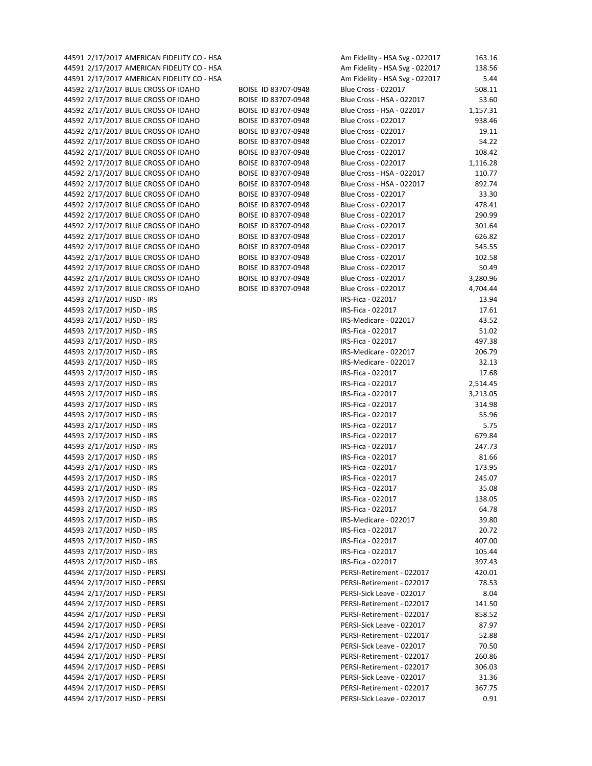44591 2/17/2017 AMERICAN FIDELITY CO - HSA AM AM Fidelity - HSA Svg - 022017 163.16 44591 2/17/2017 AMERICAN FIDELITY CO - HSA Am Fidelity - HSA Svg - 022017 138.56 44591 2/17/2017 AMERICAN FIDELITY CO - HSA Am Fidelity - HSA Svg - 022017 5.44 44592 2/17/2017 BLUE CROSS OF IDAHO BOISE ID 83707‐0948 Blue Cross ‐ 022017 508.11 44592 2/17/2017 BLUE CROSS OF IDAHO BOISE ID 83707‐0948 Blue Cross ‐ HSA ‐ 022017 53.60 44592 2/17/2017 BLUE CROSS OF IDAHO BOISE ID 83707‐0948 Blue Cross ‐ HSA ‐ 022017 1,157.31 44592 2/17/2017 BLUE CROSS OF IDAHO BOISE ID 83707‐0948 Blue Cross ‐ 022017 938.46 44592 2/17/2017 BLUE CROSS OF IDAHO BOISE ID 83707‐0948 Blue Cross ‐ 022017 19.11 44592 2/17/2017 BLUE CROSS OF IDAHO BOISE ID 83707‐0948 Blue Cross ‐ 022017 54.22 44592 2/17/2017 BLUE CROSS OF IDAHO BOISE ID 83707‐0948 Blue Cross ‐ 022017 108.42 44592 2/17/2017 BLUE CROSS OF IDAHO BOISE ID 83707‐0948 Blue Cross ‐ 022017 1,116.28 44592 2/17/2017 BLUE CROSS OF IDAHO BOISE ID 83707-0948 Blue Cross - HSA - 022017 110.77 44592 2/17/2017 BLUE CROSS OF IDAHO BOISE ID 83707‐0948 Blue Cross ‐ HSA ‐ 022017 892.74 44592 2/17/2017 BLUE CROSS OF IDAHO BOISE ID 83707‐0948 Blue Cross ‐ 022017 33.30 44592 2/17/2017 BLUE CROSS OF IDAHO BOISE ID 83707‐0948 Blue Cross ‐ 022017 478.41 44592 2/17/2017 BLUE CROSS OF IDAHO BOISE ID 83707‐0948 Blue Cross ‐ 022017 290.99 44592 2/17/2017 BLUE CROSS OF IDAHO BOISE ID 83707‐0948 Blue Cross ‐ 022017 301.64 44592 2/17/2017 BLUE CROSS OF IDAHO BOISE ID 83707‐0948 Blue Cross ‐ 022017 626.82 44592 2/17/2017 BLUE CROSS OF IDAHO BOISE ID 83707‐0948 Blue Cross ‐ 022017 545.55 44592 2/17/2017 BLUE CROSS OF IDAHO BOISE ID 83707‐0948 Blue Cross ‐ 022017 102.58 44592 2/17/2017 BLUE CROSS OF IDAHO BOISE ID 83707‐0948 Blue Cross ‐ 022017 50.49 44592 2/17/2017 BLUE CROSS OF IDAHO BOISE ID 83707‐0948 Blue Cross ‐ 022017 3,280.96 44592 2/17/2017 BLUE CROSS OF IDAHO BOISE ID 83707‐0948 Blue Cross ‐ 022017 4,704.44 44593 2/17/2017 HJSD - IRS IRS ISS ISSN ISSN ISSN ISSN ISSN ISSN ISSN ISSN IS 44593 2/17/2017 HJSD - IRS IRS ISO ISO ISO ISO ISO ISO ISO ISO ISO ISO ISO 44593 2/17/2017 HJSD ‐ IRS IRS‐Medicare ‐ 022017 43.52 44593 2/17/2017 HJSD ‐ IRS IRS‐Fica ‐ 022017 51.02 44593 2/17/2017 HJSD ‐ IRS IRS‐Fica ‐ 022017 497.38 44593 2/17/2017 HJSD - IRS IRS IRS-Medicare - 022017 ISS-Medicare - 022017 206.79 44593 2/17/2017 HJSD - IRS IRS-Medicare - 022017 ISS-Medicare - 022017 32.13 44593 2/17/2017 HJSD - IRS IRS-Fica - 022017 IRS-Fica - 022017 ITS-88 44593 2/17/2017 HJSD ‐ IRS IRS‐Fica ‐ 022017 2,514.45 44593 2/17/2017 HJSD ‐ IRS IRS‐Fica ‐ 022017 3,213.05 44593 2/17/2017 HJSD ‐ IRS IRS‐Fica ‐ 022017 314.98 44593 2/17/2017 HJSD - IRS IRS-Fica - 022017 IRS-Fica - 022017 S5.96 44593 2/17/2017 HJSD - IRS IRS-Fica - 022017 IRS-Fica - 022017 S.75 44593 2/17/2017 HJSD ‐ IRS IRS‐Fica ‐ 022017 679.84 44593 2/17/2017 HJSD ‐ IRS IRS‐Fica ‐ 022017 247.73 44593 2/17/2017 HJSD - IRS IRS ISO ISO ISO ISO ISO ISO ISO ISO ISO ISO ISO 44593 2/17/2017 HJSD - IRS IRS ISS ISS ISS ISS-Fica - 022017 ISS-Fica - 022017 ISS-Fica - 022017 44593 2/17/2017 HJSD ‐ IRS IRS‐Fica ‐ 022017 245.07 44593 2/17/2017 HJSD ‐ IRS IRS‐Fica ‐ 022017 35.08 44593 2/17/2017 HJSD ‐ IRS IRS‐Fica ‐ 022017 138.05 44593 2/17/2017 HJSD ‐ IRS IRS‐Fica ‐ 022017 64.78 44593 2/17/2017 HJSD - IRS IRS-Medicare - 022017 ISS-Medicare - 022017 39.80 44593 2/17/2017 HJSD - IRS IRS-Fica - 022017 IRS-Fica - 022017 20.72 44593 2/17/2017 HJSD ‐ IRS IRS‐Fica ‐ 022017 407.00 44593 2/17/2017 HJSD - IRS IRS ISLAMA ISLAMA ISLAMA IRS-Fica - 022017 ISLAMA ISLAMA ISLAMA ISLAMA ISLAMA ISLAMA ISLAMA ISLAMA ISLAMA ISLAMA ISLAMA ISLAMA ISLAMA ISLA 44593 2/17/2017 HJSD ‐ IRS IRS‐Fica ‐ 022017 397.43 44594 2/17/2017 HJSD ‐ PERSI PERSI‐Retirement ‐ 022017 420.01 44594 2/17/2017 HJSD ‐ PERSI PERSI‐Retirement ‐ 022017 78.53 44594 2/17/2017 HJSD ‐ PERSI PERSI‐Sick Leave ‐ 022017 8.04 44594 2/17/2017 HJSD ‐ PERSI PERSI‐Retirement ‐ 022017 141.50 44594 2/17/2017 HJSD ‐ PERSI PERSI‐Retirement ‐ 022017 858.52 44594 2/17/2017 HJSD ‐ PERSI PERSI‐Sick Leave ‐ 022017 87.97 44594 2/17/2017 HJSD ‐ PERSI PERSI‐Retirement ‐ 022017 52.88 44594 2/17/2017 HJSD ‐ PERSI PERSI‐Sick Leave ‐ 022017 70.50 44594 2/17/2017 HJSD ‐ PERSI PERSI‐Retirement ‐ 022017 260.86 44594 2/17/2017 HJSD ‐ PERSI PERSI‐Retirement ‐ 022017 306.03 44594 2/17/2017 HJSD - PERSI PERSI PERSI-Sick Leave - 022017 31.36 44594 2/17/2017 HJSD ‐ PERSI PERSI‐Retirement ‐ 022017 367.75 44594 2/17/2017 HJSD ‐ PERSI PERSI‐Sick Leave ‐ 022017 0.91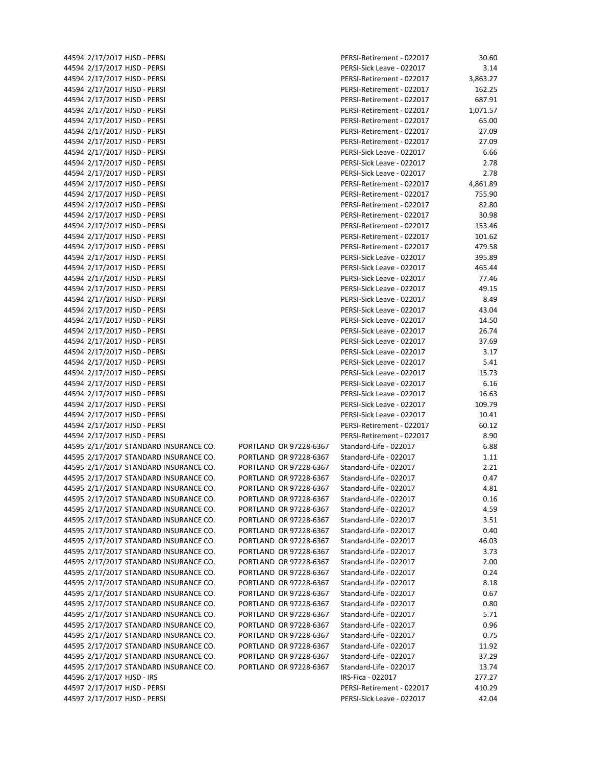|                            | 44594 2/17/2017 HJSD - PERSI                                                     |             |
|----------------------------|----------------------------------------------------------------------------------|-------------|
|                            | 44594 2/17/2017 HJSD - PERSI                                                     |             |
|                            | 44594 2/17/2017 HJSD - PERSI                                                     |             |
|                            | 44594 2/17/2017 HJSD - PERSI                                                     |             |
|                            | 44594 2/17/2017 HJSD - PERSI                                                     |             |
|                            | 44594 2/17/2017 HJSD - PERSI                                                     |             |
|                            | 44594 2/17/2017 HJSD - PERSI                                                     |             |
|                            | 44594 2/17/2017 HJSD - PERSI                                                     |             |
|                            | 44594 2/17/2017 HJSD - PERSI                                                     |             |
|                            | 44594 2/17/2017 HJSD - PERSI                                                     |             |
|                            | 44594 2/17/2017 HJSD - PERSI                                                     |             |
|                            | 44594 2/17/2017 HJSD - PERSI                                                     |             |
|                            | 44594 2/17/2017 HJSD - PERSI                                                     |             |
|                            |                                                                                  |             |
|                            | 44594 2/17/2017 HJSD - PERSI                                                     |             |
|                            | 44594 2/17/2017 HJSD - PERSI                                                     |             |
|                            | 44594 2/17/2017 HJSD - PERSI                                                     |             |
|                            | 44594 2/17/2017 HJSD - PERSI                                                     |             |
|                            | 44594 2/17/2017 HJSD - PERSI                                                     |             |
|                            | 44594 2/17/2017 HJSD - PERSI                                                     |             |
|                            | 44594 2/17/2017 HJSD - PERSI                                                     |             |
|                            | 44594 2/17/2017 HJSD - PERSI                                                     |             |
|                            | 44594 2/17/2017 HJSD - PERSI                                                     |             |
|                            | 44594 2/17/2017 HJSD - PERSI                                                     |             |
|                            | 44594 2/17/2017 HJSD - PERSI                                                     |             |
|                            | 44594 2/17/2017 HJSD - PERSI                                                     |             |
|                            | 44594 2/17/2017 HJSD - PERSI                                                     |             |
|                            | 44594 2/17/2017 HJSD - PERSI                                                     |             |
|                            | 44594 2/17/2017 HJSD - PERSI                                                     |             |
|                            | 44594 2/17/2017 HJSD - PERSI                                                     |             |
|                            | 44594 2/17/2017 HJSD - PERSI                                                     |             |
|                            | 44594 2/17/2017 HJSD - PERSI                                                     |             |
|                            | 44594 2/17/2017 HJSD - PERSI                                                     |             |
|                            | 44594 2/17/2017 HJSD - PERSI                                                     |             |
|                            | 44594 2/17/2017 HJSD - PERSI                                                     |             |
|                            | 44594 2/17/2017 HJSD - PERSI                                                     |             |
|                            | 44594 2/17/2017 HJSD - PERSI                                                     |             |
|                            | 44594 2/17/2017 HJSD - PERSI                                                     |             |
|                            | 44595 2/17/2017 STANDARD INSURANCE CO.                                           | PORTLAND OF |
|                            | 44595 2/17/2017 STANDARD INSURANCE CO.                                           | PORTLAND OF |
|                            |                                                                                  | PORTLAND OF |
|                            | 44595 2/17/2017 STANDARD INSURANCE CO.<br>44595 2/17/2017 STANDARD INSURANCE CO. | PORTLAND OF |
|                            |                                                                                  |             |
|                            | 44595 2/17/2017 STANDARD INSURANCE CO.                                           | PORTLAND OF |
|                            | 44595 2/17/2017 STANDARD INSURANCE CO.                                           | PORTLAND OF |
|                            | 44595 2/17/2017 STANDARD INSURANCE CO.                                           | PORTLAND OF |
|                            | 44595 2/17/2017 STANDARD INSURANCE CO.                                           | PORTLAND OF |
|                            | 44595 2/17/2017 STANDARD INSURANCE CO.                                           | PORTLAND OF |
|                            | 44595 2/17/2017 STANDARD INSURANCE CO.                                           | PORTLAND OF |
|                            | 44595 2/17/2017 STANDARD INSURANCE CO.                                           | PORTLAND OF |
|                            | 44595 2/17/2017 STANDARD INSURANCE CO.                                           | PORTLAND OF |
|                            | 44595 2/17/2017 STANDARD INSURANCE CO.                                           | PORTLAND OF |
|                            | 44595 2/17/2017 STANDARD INSURANCE CO.                                           | PORTLAND OF |
|                            | 44595 2/17/2017 STANDARD INSURANCE CO.                                           | PORTLAND OF |
|                            | 44595 2/17/2017 STANDARD INSURANCE CO.                                           | PORTLAND OF |
|                            | 44595 2/17/2017 STANDARD INSURANCE CO.                                           | PORTLAND OF |
|                            | 44595 2/17/2017 STANDARD INSURANCE CO.                                           | PORTLAND OF |
|                            | 44595 2/17/2017 STANDARD INSURANCE CO.                                           | PORTLAND OF |
|                            | 44595 2/17/2017 STANDARD INSURANCE CO.                                           | PORTLAND OF |
|                            | 44595 2/17/2017 STANDARD INSURANCE CO.                                           | PORTLAND OF |
|                            | 44595 2/17/2017 STANDARD INSURANCE CO.                                           | PORTLAND OF |
| 44596 2/17/2017 HJSD - IRS |                                                                                  |             |
|                            | 44597 2/17/2017 HJSD - PERSI                                                     |             |
|                            | 44597 2/17/2017 HJSD - PERSI                                                     |             |
|                            |                                                                                  |             |

| 44594 2/17/2017 HJSD - PERSI           |                        | PERSI-Retirement - 022017 | 30.60    |
|----------------------------------------|------------------------|---------------------------|----------|
| 44594 2/17/2017 HJSD - PERSI           |                        | PERSI-Sick Leave - 022017 | 3.14     |
| 44594 2/17/2017 HJSD - PERSI           |                        | PERSI-Retirement - 022017 | 3,863.27 |
| 44594 2/17/2017 HJSD - PERSI           |                        | PERSI-Retirement - 022017 | 162.25   |
| 44594 2/17/2017 HJSD - PERSI           |                        | PERSI-Retirement - 022017 | 687.91   |
| 44594 2/17/2017 HJSD - PERSI           |                        | PERSI-Retirement - 022017 | 1,071.57 |
| 44594 2/17/2017 HJSD - PERSI           |                        | PERSI-Retirement - 022017 | 65.00    |
| 44594 2/17/2017 HJSD - PERSI           |                        | PERSI-Retirement - 022017 | 27.09    |
| 44594 2/17/2017 HJSD - PERSI           |                        | PERSI-Retirement - 022017 | 27.09    |
| 44594 2/17/2017 HJSD - PERSI           |                        | PERSI-Sick Leave - 022017 | 6.66     |
| 44594 2/17/2017 HJSD - PERSI           |                        | PERSI-Sick Leave - 022017 | 2.78     |
| 44594 2/17/2017 HJSD - PERSI           |                        | PERSI-Sick Leave - 022017 | 2.78     |
| 44594 2/17/2017 HJSD - PERSI           |                        | PERSI-Retirement - 022017 | 4,861.89 |
| 44594 2/17/2017 HJSD - PERSI           |                        | PERSI-Retirement - 022017 | 755.90   |
| 44594 2/17/2017 HJSD - PERSI           |                        | PERSI-Retirement - 022017 | 82.80    |
| 44594 2/17/2017 HJSD - PERSI           |                        | PERSI-Retirement - 022017 | 30.98    |
| 44594 2/17/2017 HJSD - PERSI           |                        | PERSI-Retirement - 022017 | 153.46   |
| 44594 2/17/2017 HJSD - PERSI           |                        | PERSI-Retirement - 022017 | 101.62   |
| 44594 2/17/2017 HJSD - PERSI           |                        | PERSI-Retirement - 022017 | 479.58   |
| 44594 2/17/2017 HJSD - PERSI           |                        | PERSI-Sick Leave - 022017 | 395.89   |
| 44594 2/17/2017 HJSD - PERSI           |                        | PERSI-Sick Leave - 022017 | 465.44   |
| 44594 2/17/2017 HJSD - PERSI           |                        | PERSI-Sick Leave - 022017 | 77.46    |
| 44594 2/17/2017 HJSD - PERSI           |                        | PERSI-Sick Leave - 022017 | 49.15    |
| 44594 2/17/2017 HJSD - PERSI           |                        | PERSI-Sick Leave - 022017 | 8.49     |
| 44594 2/17/2017 HJSD - PERSI           |                        | PERSI-Sick Leave - 022017 | 43.04    |
| 44594 2/17/2017 HJSD - PERSI           |                        | PERSI-Sick Leave - 022017 | 14.50    |
| 44594 2/17/2017 HJSD - PERSI           |                        | PERSI-Sick Leave - 022017 | 26.74    |
| 44594 2/17/2017 HJSD - PERSI           |                        | PERSI-Sick Leave - 022017 | 37.69    |
| 44594 2/17/2017 HJSD - PERSI           |                        | PERSI-Sick Leave - 022017 | 3.17     |
| 44594 2/17/2017 HJSD - PERSI           |                        | PERSI-Sick Leave - 022017 | 5.41     |
| 44594 2/17/2017 HJSD - PERSI           |                        | PERSI-Sick Leave - 022017 | 15.73    |
| 44594 2/17/2017 HJSD - PERSI           |                        | PERSI-Sick Leave - 022017 | 6.16     |
| 44594 2/17/2017 HJSD - PERSI           |                        | PERSI-Sick Leave - 022017 | 16.63    |
| 44594 2/17/2017 HJSD - PERSI           |                        | PERSI-Sick Leave - 022017 | 109.79   |
| 44594 2/17/2017 HJSD - PERSI           |                        | PERSI-Sick Leave - 022017 | 10.41    |
| 44594 2/17/2017 HJSD - PERSI           |                        | PERSI-Retirement - 022017 | 60.12    |
| 44594 2/17/2017 HJSD - PERSI           |                        | PERSI-Retirement - 022017 | 8.90     |
| 44595 2/17/2017 STANDARD INSURANCE CO. | PORTLAND OR 97228-6367 | Standard-Life - 022017    | 6.88     |
| 44595 2/17/2017 STANDARD INSURANCE CO. | PORTLAND OR 97228-6367 | Standard-Life - 022017    | 1.11     |
| 44595 2/17/2017 STANDARD INSURANCE CO. | PORTLAND OR 97228-6367 | Standard-Life - 022017    | 2.21     |
| 44595 2/17/2017 STANDARD INSURANCE CO. | PORTLAND OR 97228-6367 | Standard-Life - 022017    | 0.47     |
| 44595 2/17/2017 STANDARD INSURANCE CO. | PORTLAND OR 97228-6367 | Standard-Life - 022017    | 4.81     |
| 44595 2/17/2017 STANDARD INSURANCE CO. | PORTLAND OR 97228-6367 | Standard-Life - 022017    | 0.16     |
| 44595 2/17/2017 STANDARD INSURANCE CO. | PORTLAND OR 97228-6367 | Standard-Life - 022017    | 4.59     |
| 44595 2/17/2017 STANDARD INSURANCE CO. | PORTLAND OR 97228-6367 | Standard-Life - 022017    | 3.51     |
| 44595 2/17/2017 STANDARD INSURANCE CO. | PORTLAND OR 97228-6367 | Standard-Life - 022017    | 0.40     |
| 44595 2/17/2017 STANDARD INSURANCE CO. | PORTLAND OR 97228-6367 | Standard-Life - 022017    | 46.03    |
| 44595 2/17/2017 STANDARD INSURANCE CO. | PORTLAND OR 97228-6367 | Standard-Life - 022017    | 3.73     |
| 44595 2/17/2017 STANDARD INSURANCE CO. | PORTLAND OR 97228-6367 | Standard-Life - 022017    | 2.00     |
| 44595 2/17/2017 STANDARD INSURANCE CO. | PORTLAND OR 97228-6367 | Standard-Life - 022017    | 0.24     |
| 44595 2/17/2017 STANDARD INSURANCE CO. | PORTLAND OR 97228-6367 | Standard-Life - 022017    | 8.18     |
| 44595 2/17/2017 STANDARD INSURANCE CO. | PORTLAND OR 97228-6367 | Standard-Life - 022017    | 0.67     |
| 44595 2/17/2017 STANDARD INSURANCE CO. | PORTLAND OR 97228-6367 | Standard-Life - 022017    | 0.80     |
| 44595 2/17/2017 STANDARD INSURANCE CO. | PORTLAND OR 97228-6367 | Standard-Life - 022017    | 5.71     |
| 44595 2/17/2017 STANDARD INSURANCE CO. | PORTLAND OR 97228-6367 | Standard-Life - 022017    | 0.96     |
| 44595 2/17/2017 STANDARD INSURANCE CO. | PORTLAND OR 97228-6367 | Standard-Life - 022017    | 0.75     |
| 44595 2/17/2017 STANDARD INSURANCE CO. | PORTLAND OR 97228-6367 | Standard-Life - 022017    | 11.92    |
| 44595 2/17/2017 STANDARD INSURANCE CO. | PORTLAND OR 97228-6367 | Standard-Life - 022017    | 37.29    |
| 44595 2/17/2017 STANDARD INSURANCE CO. | PORTLAND OR 97228-6367 | Standard-Life - 022017    | 13.74    |
| 44596 2/17/2017 HJSD - IRS             |                        | IRS-Fica - 022017         | 277.27   |
| 44597 2/17/2017 HJSD - PERSI           |                        | PERSI-Retirement - 022017 | 410.29   |
| 44597 2/17/2017 HJSD - PERSI           |                        | PERSI-Sick Leave - 022017 | 42.04    |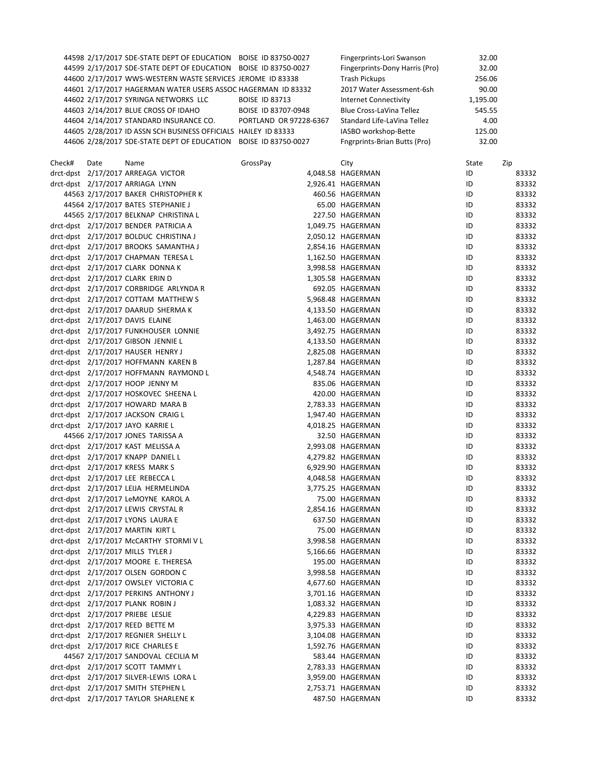| 44598 2/17/2017 SDE-STATE DEPT OF EDUCATION BOISE ID 83750-0027 |                        | Fingerprints-Lori Swanson       | 32.00    |
|-----------------------------------------------------------------|------------------------|---------------------------------|----------|
| 44599 2/17/2017 SDE-STATE DEPT OF EDUCATION BOISE ID 83750-0027 |                        | Fingerprints-Dony Harris (Pro)  | 32.00    |
| 44600 2/17/2017 WWS-WESTERN WASTE SERVICES JEROME ID 83338      |                        | <b>Trash Pickups</b>            | 256.06   |
| 44601 2/17/2017 HAGERMAN WATER USERS ASSOC HAGERMAN ID 83332    |                        | 2017 Water Assessment-6sh       | 90.00    |
| 44602 2/17/2017 SYRINGA NETWORKS LLC                            | <b>BOISE ID 83713</b>  | <b>Internet Connectivity</b>    | 1,195.00 |
| 44603 2/14/2017 BLUE CROSS OF IDAHO                             | BOISE ID 83707-0948    | <b>Blue Cross-LaVina Tellez</b> | 545.55   |
| 44604 2/14/2017 STANDARD INSURANCE CO.                          | PORTLAND OR 97228-6367 | Standard Life-LaVina Tellez     | 4.00     |
| 44605 2/28/2017 ID ASSN SCH BUSINESS OFFICIALS HAILEY ID 83333  |                        | IASBO workshop-Bette            | 125.00   |
| 44606 2/28/2017 SDE-STATE DEPT OF EDUCATION BOISE ID 83750-0027 |                        | Fngrprints-Brian Butts (Pro)    | 32.00    |

| Check# | Date | Name                                                                       | GrossPay | City              | State | Zip            |
|--------|------|----------------------------------------------------------------------------|----------|-------------------|-------|----------------|
|        |      | drct-dpst 2/17/2017 ARREAGA VICTOR                                         |          | 4,048.58 HAGERMAN | ID    | 83332          |
|        |      | drct-dpst 2/17/2017 ARRIAGA LYNN                                           |          | 2,926.41 HAGERMAN | ID    | 83332          |
|        |      | 44563 2/17/2017 BAKER CHRISTOPHER K                                        |          | 460.56 HAGERMAN   | ID    | 83332          |
|        |      | 44564 2/17/2017 BATES STEPHANIE J                                          |          | 65.00 HAGERMAN    | ID    | 83332          |
|        |      | 44565 2/17/2017 BELKNAP CHRISTINA L                                        |          | 227.50 HAGERMAN   | ID    | 83332          |
|        |      | drct-dpst 2/17/2017 BENDER PATRICIA A                                      |          | 1,049.75 HAGERMAN | ID    | 83332          |
|        |      | drct-dpst 2/17/2017 BOLDUC CHRISTINA J                                     |          | 2,050.12 HAGERMAN | ID    | 83332          |
|        |      | drct-dpst 2/17/2017 BROOKS SAMANTHA J                                      |          | 2,854.16 HAGERMAN | ID    | 83332          |
|        |      | drct-dpst 2/17/2017 CHAPMAN TERESA L                                       |          | 1,162.50 HAGERMAN | ID    | 83332          |
|        |      | drct-dpst 2/17/2017 CLARK DONNA K                                          |          | 3,998.58 HAGERMAN | ID    | 83332          |
|        |      | drct-dpst 2/17/2017 CLARK ERIN D                                           |          | 1,305.58 HAGERMAN | ID    | 83332          |
|        |      | drct-dpst 2/17/2017 CORBRIDGE ARLYNDA R                                    |          | 692.05 HAGERMAN   | ID    | 83332          |
|        |      | drct-dpst 2/17/2017 COTTAM MATTHEW S                                       |          | 5,968.48 HAGERMAN | ID    | 83332          |
|        |      | drct-dpst 2/17/2017 DAARUD SHERMA K                                        |          | 4,133.50 HAGERMAN | ID    | 83332          |
|        |      | drct-dpst 2/17/2017 DAVIS ELAINE                                           |          | 1,463.00 HAGERMAN | ID    | 83332          |
|        |      | drct-dpst 2/17/2017 FUNKHOUSER LONNIE                                      |          | 3,492.75 HAGERMAN | ID    | 83332          |
|        |      | drct-dpst 2/17/2017 GIBSON JENNIE L                                        |          | 4,133.50 HAGERMAN | ID    | 83332          |
|        |      | drct-dpst 2/17/2017 HAUSER HENRY J                                         |          | 2,825.08 HAGERMAN | ID    | 83332          |
|        |      | drct-dpst 2/17/2017 HOFFMANN KAREN B                                       |          | 1,287.84 HAGERMAN | ID    | 83332          |
|        |      | drct-dpst 2/17/2017 HOFFMANN RAYMOND L                                     |          | 4,548.74 HAGERMAN | ID    | 83332          |
|        |      | drct-dpst 2/17/2017 HOOP JENNY M                                           |          | 835.06 HAGERMAN   | ID    | 83332          |
|        |      | drct-dpst 2/17/2017 HOSKOVEC SHEENA L                                      |          | 420.00 HAGERMAN   | ID    | 83332          |
|        |      | drct-dpst 2/17/2017 HOWARD MARA B                                          |          | 2,783.33 HAGERMAN | ID    | 83332          |
|        |      | drct-dpst 2/17/2017 JACKSON CRAIG L                                        |          | 1,947.40 HAGERMAN | ID    | 83332          |
|        |      | drct-dpst 2/17/2017 JAYO KARRIE L                                          |          | 4,018.25 HAGERMAN | ID    | 83332          |
|        |      | 44566 2/17/2017 JONES TARISSA A                                            |          | 32.50 HAGERMAN    | ID    | 83332          |
|        |      | drct-dpst 2/17/2017 KAST MELISSA A                                         |          | 2,993.08 HAGERMAN | ID    | 83332          |
|        |      | drct-dpst 2/17/2017 KNAPP DANIEL L                                         |          | 4,279.82 HAGERMAN | ID    | 83332          |
|        |      | drct-dpst 2/17/2017 KRESS MARK S                                           |          | 6,929.90 HAGERMAN | ID    | 83332          |
|        |      | drct-dpst 2/17/2017 LEE REBECCA L                                          |          | 4,048.58 HAGERMAN | ID    | 83332          |
|        |      |                                                                            |          |                   | ID    |                |
|        |      | drct-dpst 2/17/2017 LEIJA HERMELINDA                                       |          | 3,775.25 HAGERMAN |       | 83332<br>83332 |
|        |      | drct-dpst 2/17/2017 LeMOYNE KAROL A<br>drct-dpst 2/17/2017 LEWIS CRYSTAL R |          | 75.00 HAGERMAN    | ID    |                |
|        |      |                                                                            |          | 2,854.16 HAGERMAN | ID    | 83332          |
|        |      | drct-dpst 2/17/2017 LYONS LAURA E                                          |          | 637.50 HAGERMAN   | ID    | 83332          |
|        |      | drct-dpst 2/17/2017 MARTIN KIRT L                                          |          | 75.00 HAGERMAN    | ID    | 83332          |
|        |      | drct-dpst 2/17/2017 McCARTHY STORMIVL                                      |          | 3,998.58 HAGERMAN | ID    | 83332          |
|        |      | drct-dpst 2/17/2017 MILLS TYLER J                                          |          | 5,166.66 HAGERMAN | ID    | 83332          |
|        |      | drct-dpst 2/17/2017 MOORE E. THERESA                                       |          | 195.00 HAGERMAN   | ID    | 83332          |
|        |      | drct-dpst 2/17/2017 OLSEN GORDON C                                         |          | 3,998.58 HAGERMAN | ID    | 83332          |
|        |      | drct-dpst 2/17/2017 OWSLEY VICTORIA C                                      |          | 4,677.60 HAGERMAN | ID    | 83332          |
|        |      | drct-dpst 2/17/2017 PERKINS ANTHONY J                                      |          | 3,701.16 HAGERMAN | ID    | 83332          |
|        |      | drct-dpst 2/17/2017 PLANK ROBIN J                                          |          | 1,083.32 HAGERMAN | ID    | 83332          |
|        |      | drct-dpst 2/17/2017 PRIEBE LESLIE                                          |          | 4,229.83 HAGERMAN | ID    | 83332          |
|        |      | drct-dpst 2/17/2017 REED BETTE M                                           |          | 3,975.33 HAGERMAN | ID    | 83332          |
|        |      | drct-dpst 2/17/2017 REGNIER SHELLY L                                       |          | 3,104.08 HAGERMAN | ID    | 83332          |
|        |      | drct-dpst 2/17/2017 RICE CHARLES E                                         |          | 1,592.76 HAGERMAN | ID    | 83332          |
|        |      | 44567 2/17/2017 SANDOVAL CECILIA M                                         |          | 583.44 HAGERMAN   | ID    | 83332          |
|        |      | drct-dpst 2/17/2017 SCOTT TAMMY L                                          |          | 2,783.33 HAGERMAN | ID    | 83332          |
|        |      | drct-dpst 2/17/2017 SILVER-LEWIS LORA L                                    |          | 3,959.00 HAGERMAN | ID    | 83332          |
|        |      | drct-dpst 2/17/2017 SMITH STEPHEN L                                        |          | 2,753.71 HAGERMAN | ID    | 83332          |
|        |      | drct-dpst 2/17/2017 TAYLOR SHARLENE K                                      |          | 487.50 HAGERMAN   | ID    | 83332          |